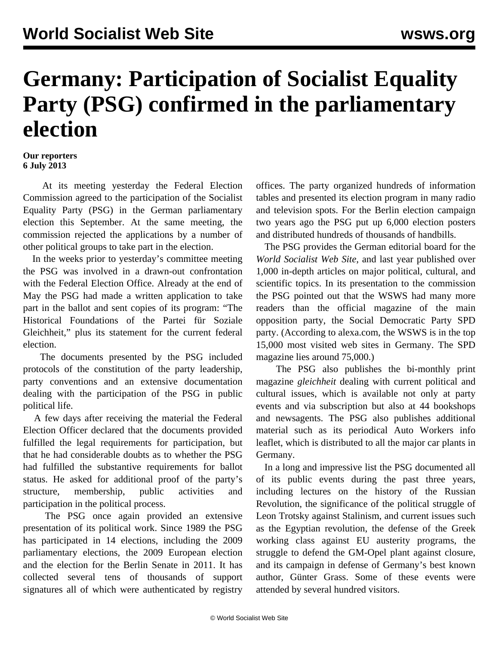## **Germany: Participation of Socialist Equality Party (PSG) confirmed in the parliamentary election**

## **Our reporters 6 July 2013**

 At its meeting yesterday the Federal Election Commission agreed to the participation of the Socialist Equality Party (PSG) in the German parliamentary election this September. At the same meeting, the commission rejected the applications by a number of other political groups to take part in the election.

 In the weeks prior to yesterday's committee meeting the PSG was involved in a drawn-out confrontation with the Federal Election Office. Already at the end of May the PSG had made a written application to take part in the ballot and sent copies of its program: "The Historical Foundations of the Partei für Soziale Gleichheit," plus its statement for the current federal election.

 The documents presented by the PSG included protocols of the constitution of the party leadership, party conventions and an extensive documentation dealing with the participation of the PSG in public political life.

 A few days after receiving the material the Federal Election Officer declared that the documents provided fulfilled the legal requirements for participation, but that he had considerable doubts as to whether the PSG had fulfilled the substantive requirements for ballot status. He asked for additional proof of the party's structure, membership, public activities and participation in the political process.

 The PSG once again provided an extensive presentation of its political work. Since 1989 the PSG has participated in 14 elections, including the 2009 parliamentary elections, the 2009 European election and the election for the Berlin Senate in 2011. It has collected several tens of thousands of support signatures all of which were authenticated by registry

offices. The party organized hundreds of information tables and presented its election program in many radio and television spots. For the Berlin election campaign two years ago the PSG put up 6,000 election posters and distributed hundreds of thousands of handbills.

 The PSG provides the German editorial board for the *World Socialist Web Site*, and last year published over 1,000 in-depth articles on major political, cultural, and scientific topics. In its presentation to the commission the PSG pointed out that the WSWS had many more readers than the official magazine of the main opposition party, the Social Democratic Party SPD party. (According to alexa.com, the WSWS is in the top 15,000 most visited web sites in Germany. The SPD magazine lies around 75,000.)

 The PSG also publishes the bi-monthly print magazine *gleichheit* dealing with current political and cultural issues, which is available not only at party events and via subscription but also at 44 bookshops and newsagents. The PSG also publishes additional material such as its periodical Auto Workers info leaflet, which is distributed to all the major car plants in Germany.

 In a long and impressive list the PSG documented all of its public events during the past three years, including lectures on the history of the Russian Revolution, the significance of the political struggle of Leon Trotsky against Stalinism, and current issues such as the Egyptian revolution, the defense of the Greek working class against EU austerity programs, the struggle to defend the GM-Opel plant against closure, and its campaign in defense of Germany's best known author, Günter Grass. Some of these events were attended by several hundred visitors.